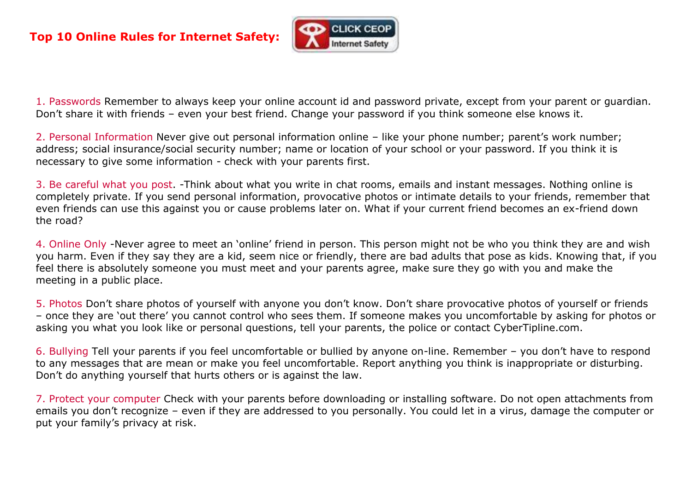

1. Passwords Remember to always keep your online account id and password private, except from your parent or guardian. Don't share it with friends – even your best friend. Change your password if you think someone else knows it.

2. Personal Information Never give out personal information online – like your phone number; parent's work number; address; social insurance/social security number; name or location of your school or your password. If you think it is necessary to give some information - check with your parents first.

3. Be careful what you post. -Think about what you write in chat rooms, emails and instant messages. Nothing online is completely private. If you send personal information, provocative photos or intimate details to your friends, remember that even friends can use this against you or cause problems later on. What if your current friend becomes an ex-friend down the road?

4. Online Only -Never agree to meet an 'online' friend in person. This person might not be who you think they are and wish you harm. Even if they say they are a kid, seem nice or friendly, there are bad adults that pose as kids. Knowing that, if you feel there is absolutely someone you must meet and your parents agree, make sure they go with you and make the meeting in a public place.

5. Photos Don't share photos of yourself with anyone you don't know. Don't share provocative photos of yourself or friends – once they are 'out there' you cannot control who sees them. If someone makes you uncomfortable by asking for photos or asking you what you look like or personal questions, tell your parents, the police or contact CyberTipline.com.

6. Bullying Tell your parents if you feel uncomfortable or bullied by anyone on-line. Remember – you don't have to respond to any messages that are mean or make you feel uncomfortable. Report anything you think is inappropriate or disturbing. Don't do anything yourself that hurts others or is against the law.

7. Protect your computer Check with your parents before downloading or installing software. Do not open attachments from emails you don't recognize – even if they are addressed to you personally. You could let in a virus, damage the computer or put your family's privacy at risk.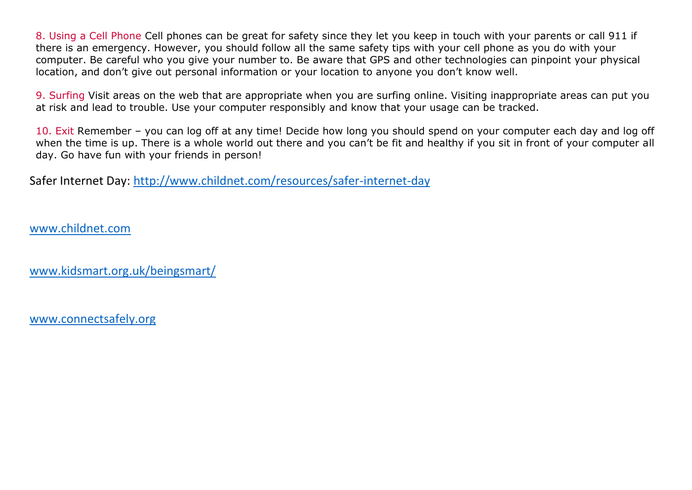8. Using a Cell Phone Cell phones can be great for safety since they let you keep in touch with your parents or call 911 if there is an emergency. However, you should follow all the same safety tips with your cell phone as you do with your computer. Be careful who you give your number to. Be aware that GPS and other technologies can pinpoint your physical location, and don't give out personal information or your location to anyone you don't know well.

9. Surfing Visit areas on the web that are appropriate when you are surfing online. Visiting inappropriate areas can put you at risk and lead to trouble. Use your computer responsibly and know that your usage can be tracked.

10. Exit Remember – you can log off at any time! Decide how long you should spend on your computer each day and log off when the time is up. There is a whole world out there and you can't be fit and healthy if you sit in front of your computer all day. Go have fun with your friends in person!

Safer Internet Day:<http://www.childnet.com/resources/safer-internet-day>

www.childnet.com

[www.kidsmart.org.uk/beingsmart/](http://www.kidsmart.org.uk/beingsmart/)

[www.connectsafely.org](http://www.connectsafely.org/)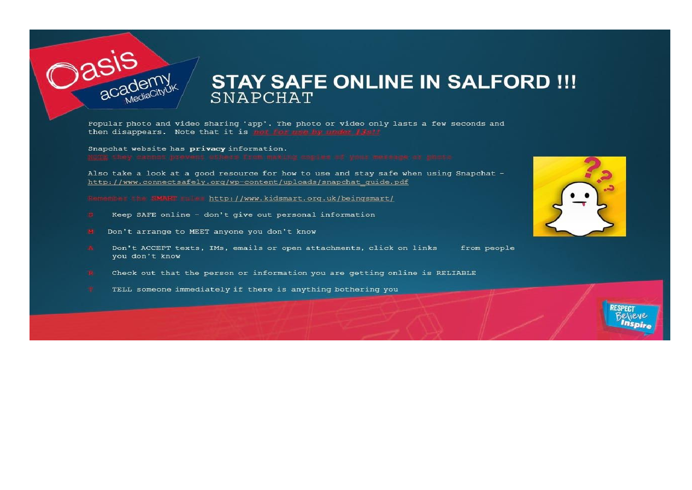

## **STAY SAFE ONLINE IN SALFORD !!!** SNAPCHAT

Popular photo and video sharing 'app'. The photo or video only lasts a few seconds and then disappears. Note that it is more for use by under if all

Snapchat website has privacy information.

Also take a look at a good resource for how to use and stay safe when using Snapchat http://www.connectsafely.org/wp-content/uploads/snapchat quide.pdf

Bemember the SMART rules http://www.kidsmart.org.uk/beingsmart/

- Keep SAFE online don't give out personal information
- Don't arrange to MEET anyone you don't know
- Don't ACCEPT texts, IMs, emails or open attachments, click on links from people you don't know
- Check out that the person or information you are getting online is RELIABLE
- TELL someone immediately if there is anything bothering you



**RESPECT Believe Inspire**